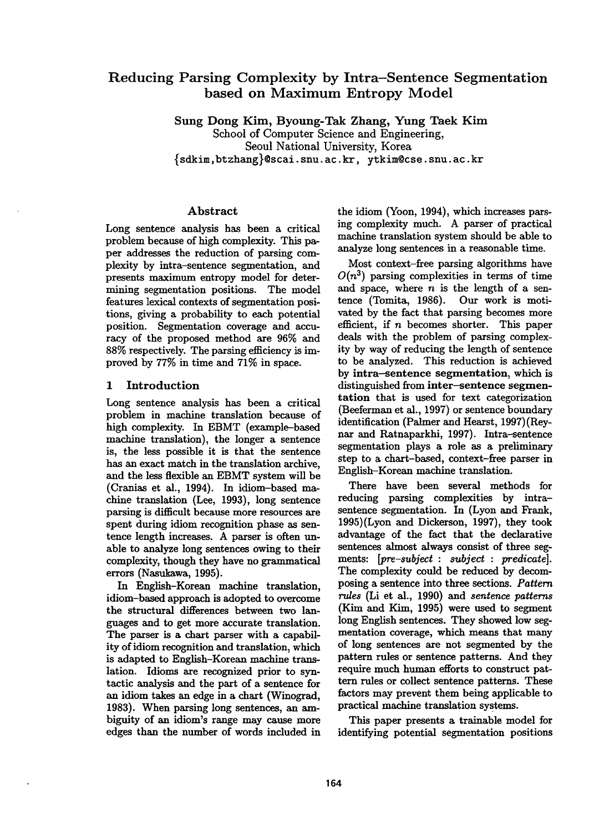# **Reducing Parsing Complexity by Intra-Sentence Segmentation based on Maximum Entropy Model**

Sung Dong Kim, Byoung-Tak Zhang, Yung Taek Kim

School of Computer Science and Engineering, Seoul National University, Korea {sdkim,btzhang}@scai. snu. ac. kr, ytkim@cse, snu. ac. kr

## Abstract

Long sentence analysis has been a critical problem because of high complexity. This paper addresses the reduction of parsing complexity by intra-sentence segmentation, and presents maximum entropy model for determining segmentation positions. The model features lexical contexts of segmentation positions, giving a probability to each potential position. Segmentation coverage and accuracy of the proposed method are 96% and 88% respectively. The parsing efficiency is improved by 77% in time and 71% in space.

## 1 Introduction

Long sentence analysis has been a critical problem in machine translation because of high complexity. In EBMT (example-based machine translation), the longer a sentence is, the less possible it is that the sentence has an exact match in the translation archive, and the less flexible an EBMT system will be (Cranias et al., 1994). In idiom-based machine translation (Lee, 1993), long sentence parsing is difficult because more resources are spent during idiom recognition phase as sentence length increases. A parser is often unable to analyze long sentences owing to their complexity, though they have no grammatical errors (Nasukawa, 1995).

In English-Korean machine translation, idiom-based approach is adopted to overcome the structural differences between two languages and to get more accurate translation. The parser is a chart parser with a capability of idiom recognition and translation, which is adapted to English-Korean machine tranalation. Idioms are recognized prior to syntactic analysis and the part of a sentence for an idiom takes an edge in a chart (Winograd, 1983). When parsing long sentences, an ambiguity of an idiom's range may cause more edges than the number of words included in

the idiom (Yoon, 1994), which increases parsing complexity much. A parser of practical machine translation system should be able to analyze long sentences in a reasonable time.

Most context-free parsing algorithms have  $O(n^3)$  parsing complexities in terms of time and space, where  $n$  is the length of a sentence (Tomita, 1986). Our work is motivated by the fact that parsing becomes more efficient, if  $n$  becomes shorter. This paper deals with the problem of parsing complexity by way of reducing the length of sentence to be analyzed. This reduction is achieved by intra-sentence segmentation, which is distinguished from inter-sentence segmentation that is used for text categorization (Beeferman et al., 1997) or sentence boundary identification (Palmer and Hearst, 1997) (Reynar and Ratnaparkhi, 1997). Intra-sentence segmentation plays a role as a preliminary step to a chart-based, context-free parser in English-Korean machine translation.

There have been several methods for reducing parsing complexities by intrasentence segmentation. In (Lyon and Frank, 1995)(Lyon and Dickerson, 1997), they took advantage of the fact that the declarative sentences almost always consist of three segments: [pre-subject : subject : predicate]. The complexity could be reduced by decomposing a sentence into three sections. *Pattern rules* (Li et al., 1990) and *sentence patterns*   $(Kim and Kim, 1995)$  were used to segment long English sentences. They showed low segmentation coverage, which means that many of long sentences are not segmented by the pattern rules or sentence patterns. And they require much human efforts to construct pattern rules or collect sentence patterns. These factors may prevent them being applicable to practical machine translation systems.

This paper presents a trainable model for identifying potential segmentation positions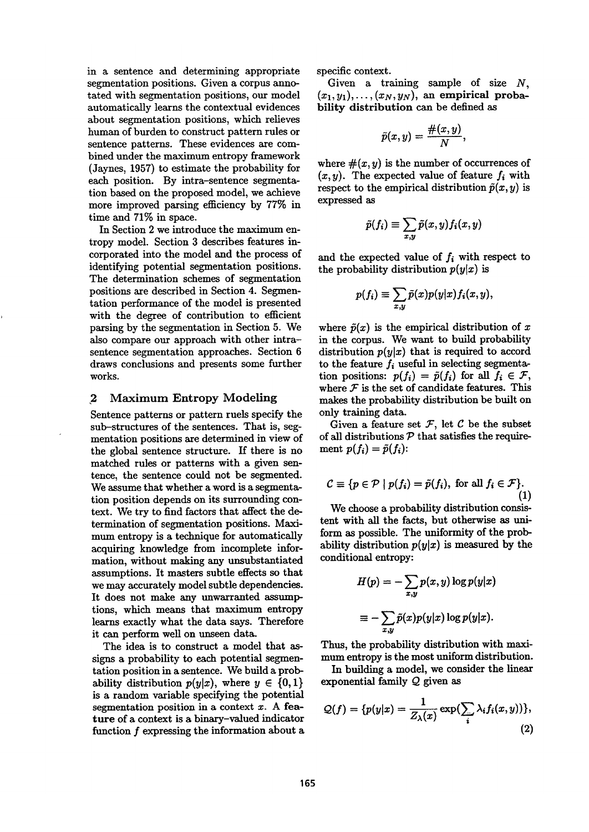in a sentence and determining appropriate segmentation positions. Given a corpus annotated with segmentation positions, our model automatically learns the contextual evidences about segmentation positions, which relieves human of burden to construct pattern rules or sentence patterns. These evidences are combined under the maximum entropy framework (Jaynes, 1957) to estimate the probability for each position. By intra-sentence segmentation based on the proposed model, we achieve more improved parsing efficiency by 77% in time and 71% in space.

In Section 2 we introduce the maximum entropy model. Section 3 describes features incorporated into the model and the process of identifying potential segmentation positions. The determination schemes of segmentation positions are described in Section 4. Segmentation performance of the model is presented with the degree of contribution to efficient parsing by the segmentation in Section 5. We also compare our approach with other intrasentence segmentation approaches. Section 6 draws conclusions and presents some further works.

## 2 Maximum Entropy Modeling

Sentence patterns or pattern ruels specify the sub-structures of the sentences. That is, segmentation positions are determined in view of the global sentence structure. If there is no matched rules or patterns with a given sentence, the sentence could not be segmented. We assume that whether a word is a segmentation position depends on its surrounding context. We try to find factors that affect the determination of segmentation positions. Maximum entropy is a technique for automatically acquiring knowledge from incomplete information, without making any unsubstantiated assumptions. It masters subtle effects so that we may accurately model subtle dependencies. It does not make any unwarranted assumptions, which means that maximum entropy learns exactly what the data says. Therefore it can perform well on unseen data.

The idea is to construct a model that assigns a probability to each potential segmentation position in a sentence. We build a probability distribution  $p(y|x)$ , where  $y \in \{0,1\}$ is a random variable specifying the potential segmentation position in a context  $x$ . A feature of a context is a binary-valued indicator function  $f$  expressing the information about a specific context.

Given a training sample of size  $N$ ,  $(x_1, y_1), \ldots, (x_N, y_N)$ , an empirical probability distribution can be defined as

$$
\tilde{p}(x,y)=\frac{\#(x,y)}{N},
$$

where  $\#(x, y)$  is the number of occurrences of  $(x, y)$ . The expected value of feature  $f_i$  with respect to the empirical distribution  $\tilde{p}(x, y)$  is expressed as

$$
\tilde{p}(f_i) \equiv \sum_{x,y} \tilde{p}(x,y) f_i(x,y)
$$

and the expected value of  $f_i$  with respect to the probability distribution  $p(y|x)$  is

$$
p(f_i) \equiv \sum_{x,y} \tilde{p}(x)p(y|x) f_i(x,y),
$$

where  $\tilde{p}(x)$  is the empirical distribution of x in the corpus. We want to build probability distribution  $p(y|x)$  that is required to accord to the feature  $f_i$  useful in selecting segmentation positions:  $p(f_i) = \tilde{p}(f_i)$  for all  $f_i \in \mathcal{F}$ , where  ${\mathcal F}$  is the set of candidate features. This makes the probability distribution be built on only training data.

Given a feature set  $F$ , let  $C$  be the subset of all distributions  $P$  that satisfies the requirement  $p(f_i) = \tilde{p}(f_i)$ :

$$
C \equiv \{ p \in \mathcal{P} \mid p(f_i) = \tilde{p}(f_i), \text{ for all } f_i \in \mathcal{F} \}.
$$
\n(1)

We choose a probability distribution consistent with all the facts, but otherwise as uniform as possible. The uniformity of the probability distribution  $p(y|x)$  is measured by the conditional entropy:

$$
H(p) = -\sum_{x,y} p(x,y) \log p(y|x)
$$

$$
\equiv -\sum_{x,y} \tilde{p}(x)p(y|x) \log p(y|x).
$$

Thus, the probability distribution with maximum entropy is the most uniform distribution.

In building a model, we consider the linear exponential family Q given as

$$
Q(f) = \{p(y|x) = \frac{1}{Z_{\lambda}(x)} \exp(\sum_{i} \lambda_i f_i(x, y))\},\tag{2}
$$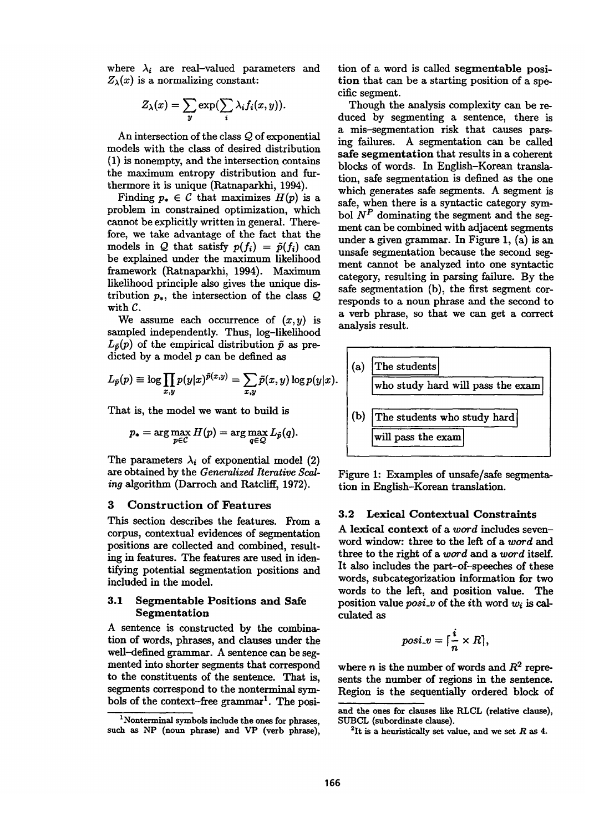where  $\lambda_i$  are real-valued parameters and  $Z_{\lambda}(x)$  is a normalizing constant:

$$
Z_{\lambda}(x) = \sum_{y} \exp(\sum_{i} \lambda_{i} f_{i}(x, y)).
$$

An intersection of the class Q of exponential models with the class of desired distribution (1) is nonempty, and the intersection contains the maximum entropy distribution and furthermore it is unique (Ratnaparkhi, 1994).

Finding  $p_* \in \mathcal{C}$  that maximizes  $H(p)$  is a problem in constrained optimization, which cannot be explicitly written in general. Therefore, we take advantage of the fact that the models in Q that satisfy  $p(f_i) = \tilde{p}(f_i)$  can be explained under the maximum likelihood framework (Ratnaparkhi, 1994). Maximum likelihood principle also gives the unique distribution  $p_*$ , the intersection of the class  $Q$ with  $\mathcal{C}$ .

We assume each occurrence of  $(x, y)$  is sampled independently. Thus, log-likelihood  $L_{\tilde{p}}(p)$  of the empirical distribution  $\tilde{p}$  as predicted by a model  $p$  can be defined as

$$
L_{\tilde{p}}(p) \equiv \log \prod_{x,y} p(y|x)^{\tilde{p}(x,y)} = \sum_{x,y} \tilde{p}(x,y) \log p(y|x).
$$

That is, the model we want to build is

$$
p_* = \arg\max_{p \in C} H(p) = \arg\max_{q \in \mathcal{Q}} L_{\tilde{p}}(q).
$$

The parameters  $\lambda_i$  of exponential model (2) are obtained by the *Generalized Iterative Scaling* algorithm (Darroch and Ratcliff, 1972).

### 3 Construction of Features

This section describes the features. From a corpus, contextual evidences of segmentation positions are collected and combined, resulting in features. The features are used in identifying potential segmentation positions and included in the model.

### 3.1 Segmentable Positions and Safe **Segmentation**

A sentence is constructed by the combination of words, phrases, and clauses under the well-defined grammar. A sentence can be segmented into shorter segments that correspond to the constituents of the sentence. That is, segments correspond to the nonterminal symbols of the context-free grammar<sup>1</sup>. The position of a word is called segmentable position that can be a starting position of a specific segment.

Though the analysis complexity can be reduced by segmenting a sentence, there is a mis-segmentation risk that causes parsing failures. A segmentation can be called safe segmentation that results in a coherent blocks of words. In English-Korean translation, safe segmentation is defined as the one which generates safe segments. A segment is safe, when there is a syntactic category symbol  $N^P$  dominating the segment and the segment can be combined with adjacent segments under a given grammar. In Figure 1, (a) is an unsafe segmentation because the second segment cannot be analyzed into one syntactic category, resulting in parsing failure. By the safe segmentation (b), the first segment corresponds to a noun phrase and the second to a verb phrase, so that we can get a correct analysis result.



Figure 1: Examples of unsafe/safe segmentation in English-Korean translation.

## 3.2 Lexical Contextual Constraints

A lexical context of a *word* includes sevenword window: three to the left of a *word and*  three to the right of a *word and a word* itself. It also includes the part-of-speeches of these words, subcategorization information for two words to the left, and position value. The position value *posi\_v* of the ith word wi is calculated as

$$
posi_{\cdot}v = \lceil \frac{i}{n} \times R \rceil,
$$

where n is the number of words and  $R^2$  represents the number of regions in the sentence. Region is the sequentially ordered block of

<sup>&</sup>lt;sup>1</sup>Nonterminal symbols include the ones for phrases. such as NP (noun phrase) and VP (verb phrase),

and the ones for clauses like RLCL (relative clause), SUBCL (subordinate clause).

<sup>&</sup>lt;sup>2</sup>It is a heuristically set value, and we set R as 4.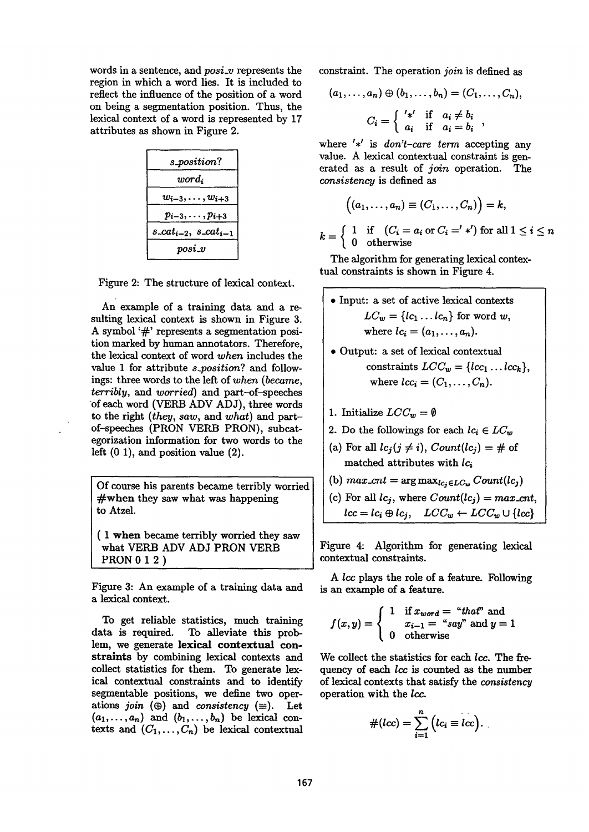words in a sentence, and *posi\_v* represents the region in which a word lies. It is included to reflect the influence of the position of a word on being a segmentation position. Thus, the lexical context of a word is represented by 17 attributes as shown in Figure 2.

| $s\_position?$               |
|------------------------------|
| $word_i$                     |
| $w_{i-3},\ldots,w_{i+3}$     |
| $p_{i-3},\ldots,p_{i+3}$     |
| $s\_cat_{i-2}, s\_cat_{i-1}$ |
| $posi$ - $v$                 |

Figure 2: The structure of lexical context.

An example of a training data and a resulting lexical context is shown in Figure 3. A symbol '#' represents a segmentation position marked by human annotators. Therefore, the lexical context of word *when* includes the value 1 for attribute *s\_position?* and followings: three words to the left of *when (became, terribly, and worried)* and part-of-speeches of each word (VERB ADV ADJ), three words to the right *(they, saw, and what)* and partof-speeches (PRON VERB PRON), subcategorization information for two words to the left  $(0 1)$ , and position value  $(2)$ .

Of course his parents became terribly worried #when they saw what was happening to Atzel.

( 1 when became terribly worried they saw what VERB ADV ADJ PRON VERB PRON 0 1 2 )

Figure 3: An example of a training data and a lexical context.

To get reliable statistics, much training data is required. To alleviate this problem, we generate lexical contextual constraints by combining lexical contexts and collect statistics for them. To generate lexical contextual constraints and to identify segmentable positions, we define two operations *join*  $(\oplus)$  and *consistency*  $(\equiv)$ . Let  $(a_1, \ldots, a_n)$  and  $(b_1, \ldots, b_n)$  be lexical contexts and  $(C_1, \ldots, C_n)$  be lexical contextual constraint. The operation *join* is defined as

$$
(a_1, \ldots, a_n) \oplus (b_1, \ldots, b_n) = (C_1, \ldots, C_n),
$$

$$
C_i = \begin{cases} \n' *' & \text{if } a_i \neq b_i \\ \na_i & \text{if } a_i = b_i \n\end{cases},
$$

where  $'$ <sup> $\star'$ </sup> is *don't-care term* accepting any value. A lexical contextual constraint is generated as a result of *join* operation. The *consistency* is defined as

$$
((a_1,\ldots,a_n)\equiv (C_1,\ldots,C_n)\big)=k,
$$

 $1$  if  $(C_i=a_i \text{ or } C_i{'}*') \text{ for all } 1\leq i \leq n$  $k = 0$  otherwise

The algorithm for generating lexical contextual constraints is shown in Figure 4.

- Input: a set of active lexical contexts  $LC_w = \{lc_1 \dots lc_n\}$  for word w, where  $lc_i = (a_1, \ldots, a_n)$ .
- Output: a set of lexical contextual constraints  $LCC_w = \{lcc_1 \dots lcc_k\},\$ where  $lcc_i = (C_1, \ldots, C_n)$ .
- 1. Initialize  $LCC_w = \emptyset$
- 2. Do the followings for each  $lc_i \in LC_w$
- (a) For all  $lc_i(j \neq i)$ ,  $Count(lc_i) = #$  of matched attributes with  $lc_i$
- (b)  $max\_cnt = \arg max_{lc_i \in LC_w} Count(lc_i)$
- (c) For all  $lc_i$ , where  $Count(lc_i) = max\_cnt$ ,  $lcc = lc_i \oplus lc_j, \quad LCC_w \leftarrow LCC_w \cup \{lcc\}$

Figure 4: Algorithm for generating lexical contextual constraints.

A Icc plays the role of a feature. Following is an example of a feature.

$$
f(x,y) = \left\{ \begin{array}{cl} 1 & \text{if } x_{word} = \text{``that''} \text{ and } \\ & x_{i-1} = \text{``say''} \text{ and } y = 1 \\ 0 & \text{otherwise} \end{array} \right.
$$

We collect the statistics for each *lcc*. The frequency of each lcc is counted as the number of lexical contexts that satisfy the *consistency*  operation with the lcc.

$$
#(lcc) = \sum_{i=1}^{n} (lc_i \equiv lcc).
$$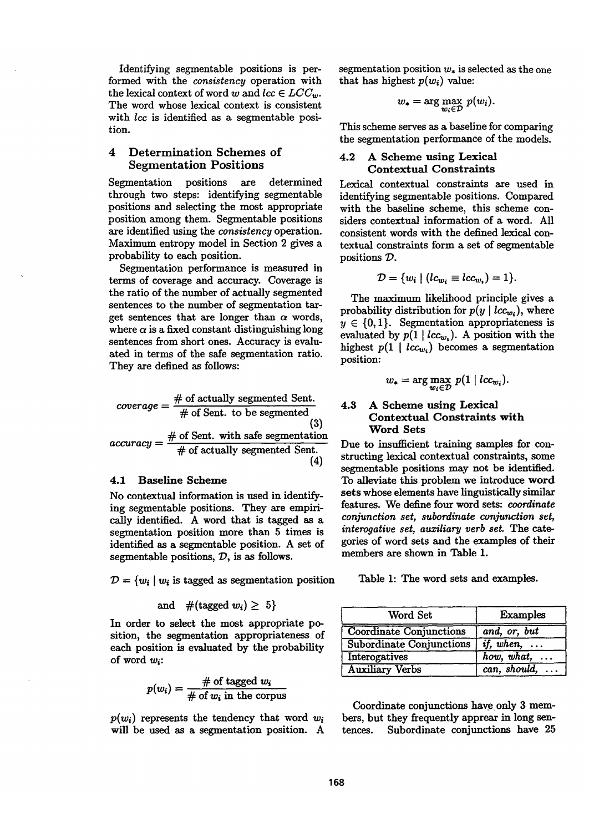Identifying segmentable positions is performed with the *consistency* operation with the lexical context of word w and  $lcc \in LCC_w$ . The word whose lexical context is consistent with *lcc* is identified as a segmentable position.

## 4 Determination Schemes of Segmentation Positions

Segmentation positions are determined through two steps: identifying segmentable positions and selecting the most appropriate position among them. Segmentable positions are identified using the *consistency* operation. Maximum entropy model in Section 2 gives a probability to each position.

Segmentation performance is measured in terms of coverage and accuracy. Coverage is the ratio of the number of actually segmented sentences to the number of segmentation target sentences that are longer than  $\alpha$  words, where  $\alpha$  is a fixed constant distinguishing long sentences from short ones. Accuracy is evaluated in terms of the safe segmentation ratio. They are defined as follows:

$$
coverage = \frac{\# \text{ of actually segmented Sent.}}{\# \text{ of Sent. to be segmented}}
$$
\n
$$
accuracy = \frac{\# \text{ of Sent. with safe segmentation}}{\# \text{ of actually segmented Sent.}}
$$
\n(4)

### 4.1 Baseline Scheme

No contextual information is used in identifying segmentable positions. They are empirically identified. A word that is tagged as a segmentation position more than 5 times is identified as a segmentable position. A set of segmentable positions,  $D$ , is as follows.

 $D = \{w_i \mid w_i \text{ is tagged as segmentation position}\}$ 

and 
$$
\#(\text{tagged }w_i) \geq 5
$$

In order to select the most appropriate position, the segmentation appropriateness of each position is evaluated by the probability of word *wi:* 

$$
p(w_i) = \frac{\text{\# of tagged } w_i}{\text{\# of } w_i \text{ in the corpus}}
$$

 $p(w_i)$  represents the tendency that word  $w_i$ will be used as a segmentation position. A segmentation position  $w_*$  is selected as the one that has highest  $p(w_i)$  value:

$$
w_* = \arg\max_{w_i \in \mathcal{D}} p(w_i).
$$

This scheme serves as a baseline for comparing the segmentation performance of the models.

## 4.2 A Scheme using Lexical Contextual Constraints

Lexical contextual constraints are used in identifying segmentable positions. Compared with the baseline scheme, this scheme considers contextual information of a word. All consistent words with the defined lexical contextual constraints form a set of segmentable positions  $\mathcal{D}$ .

$$
\mathcal{D} = \{w_i \mid (lc_{w_i} \equiv lc_{w_i}) = 1\}.
$$

The maximum likelihood principle gives a probability distribution for  $p(y \mid lcc_{w_i})$ , where  $y \in \{0,1\}$ . Segmentation appropriateness is evaluated by  $p(1 | lcc_w)$ . A position with the highest  $p(1 | lcc_{w_i})$  becomes a segmentation position:

$$
w_* = \arg\max_{w_i \in \mathcal{D}} p(1 \mid lcc_{w_i}).
$$

#### 4.3 A Scheme using Lexical Contextual Constraints with **Word Sets**

Due to insufficient training samples for constructing lexical contextual constraints, some segmentable positions may not be identified. To alleviate this problem we introduce word sets whose elements have linguistically similar features. We define four word sets: *coordinate conjunction set, subordinate conjunction set, interogative set, auxiliary verb set.* The categories of word sets and the examples of their members are shown in Table 1.

Table 1: The word sets and examples.

| Word Set                                          | Examples                                 |
|---------------------------------------------------|------------------------------------------|
| <b>Coordinate Conjunctions</b>                    | and, or, but                             |
| Subordinate Conjunctions $\int$ <i>if, when</i> , |                                          |
| Interogatives                                     | $how, what, \ldots$                      |
| <b>Auxiliary Verbs</b>                            | $\overline{can}, \textit{should}, \dots$ |

Coordinate conjunctions have only 3 members, but they frequently apprear in long sentences. Subordinate conjunctions have 25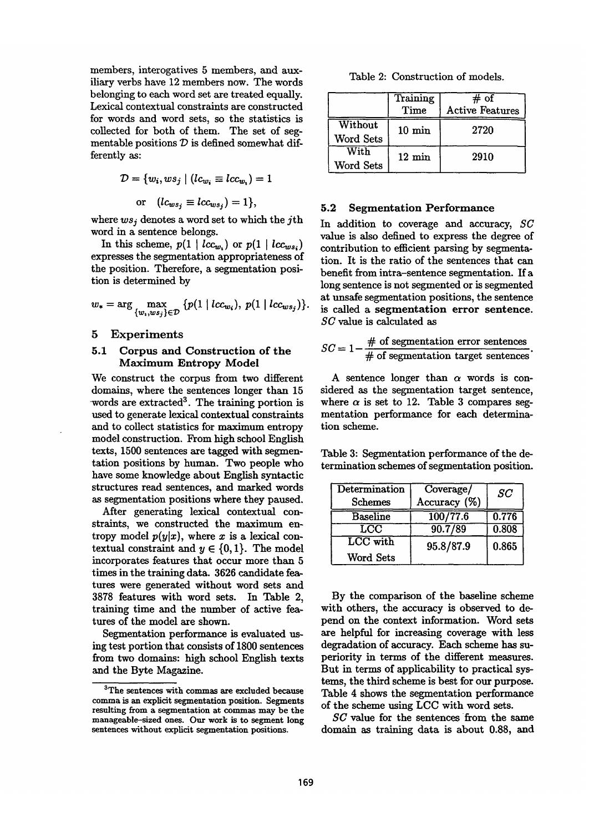members, interogatives 5 members, and auxiliary verbs have 12 members now. The words belonging to each word set are treated equally. Lexical contextual constraints are constructed for words and word sets, so the statistics is collected for both of them. The set of segmentable positions  $D~$  is defined somewhat differently as:

$$
\mathcal{D} = \{w_i, ws_j \mid (lc_{w_i} \equiv lcw_{v_i}) = 1
$$
  
or 
$$
(lc_{ws_j} \equiv lcw_{ws_j}) = 1\},\
$$

where *wsj* denotes a word set to which the jth word in a sentence belongs.

In this scheme,  $p(1 | lcc_{w_1})$  or  $p(1 | lcc_{ws_i})$ expresses the segmentation appropriateness of the position. Therefore, a segmentation position is determined by

$$
w_* = \arg \max_{\{w_i, w_{sj}\} \in \mathcal{D}} \{p(1 \mid lcc_{w_i}), \ p(1 \mid lcc_{ws_j})\}.
$$

#### 5 Experiments

#### 5.1 Corpus and Construction of the Maximum Entropy Model

We construct the corpus from two different domains, where the sentences longer than 15 words are extracted<sup>3</sup>. The training portion is used to generate lexical contextual constraints and to collect statistics for maximum entropy model construction. From high school English texts, 1500 sentences are tagged with segmentation positions by human. Two people who have some knowledge about English syntactic structures read sentences, and marked words as segmentation positions where they paused.

After generating lexical contextual constraints, we constructed the maximum entropy model  $p(y|x)$ , where x is a lexical contextual constraint and  $y \in \{0,1\}$ . The model incorporates features that occur more than 5 times in the training data. 3626 candidate features were generated without word sets and 3878 features with word sets. In Table 2, training time and the number of active features of the model are shown.

Segmentation performance is evaluated using test portion that consists of 1800 sentences ffrom two domains: high school English texts and the Byte Magazine.

Table 2: Construction of models.

|                             | Training<br>Time    | $#$ of<br><b>Active Features</b> |
|-----------------------------|---------------------|----------------------------------|
| Without<br><b>Word Sets</b> | $10 \,\mathrm{min}$ | 2720                             |
| With<br>Word Sets           | $12 \text{ min}$    | 2910                             |

#### 5.2 Segmentation Performance

In addition to coverage and accuracy, *SC*  value is also defined to express the degree of contribution to efficient parsing by segmentation. It is the ratio of the sentences that can benefit from intra-sentence segmentation. If a long sentence is not segmented or is segmented at unsafe segmentation positions, the sentence is called a segmentation error **sentence.**  *SC* value is calculated as

$$
SC = 1 - \frac{\text{\# of segmentation error sentences}}{\text{\# of segmentation target sentences}}.
$$

A sentence longer than  $\alpha$  words is considered as the segmentation target sentence, where  $\alpha$  is set to 12. Table 3 compares segmentation performance for each determination scheme.

Table 3: Segmentation performance of the determination schemes of segmentation position.

| Determination   | Coverage/    | SC    |
|-----------------|--------------|-------|
| <b>Schemes</b>  | Accuracy (%) |       |
| <b>Baseline</b> | 100/77.6     | 0.776 |
| LCC             | 90.7/89      | 0.808 |
| LCC with        | 95.8/87.9    | 0.865 |
| Word Sets       |              |       |

By the comparison of the baseline scheme with others, the accuracy is observed to depend on the context information. Word sets are helpful for increasing coverage with less degradation of accuracy. Each scheme has superiority in terms of the different measures. But in terms of applicability to practical systems, the third scheme is best for our purpose. Table 4 shows the segmentation performance of the scheme using LCC with word sets.

*SU* value for the sentences from the same domain as training data is about 0.88, and

<sup>3</sup>The sentences with commas are excluded because comma is an explicit segmentation position. Segments **resulting from a segmentation at commas may be the**  manageable-sized ones. Our work is to segment long sentences without explicit segmentation positions.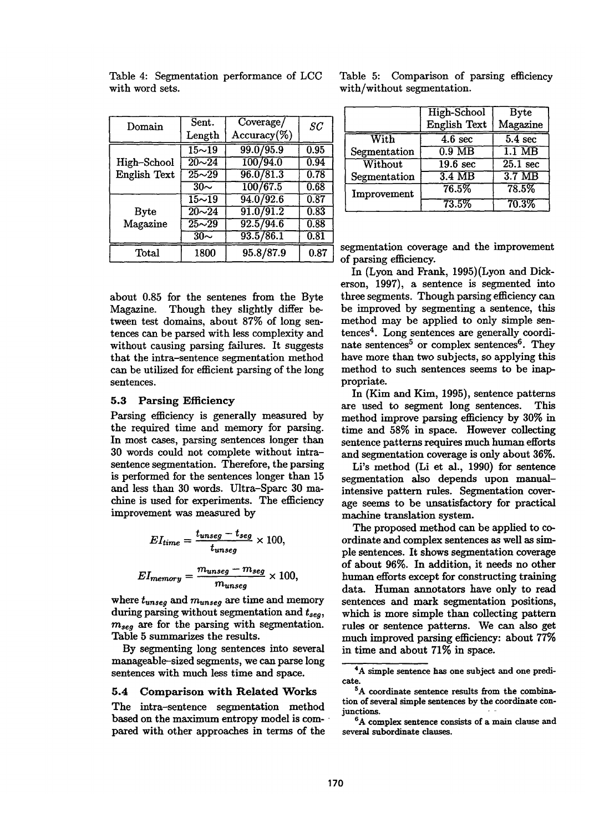| 5.4 Comparison with Related Works           |
|---------------------------------------------|
| The intra-sentence segmentation method      |
| based on the maximum entropy model is com-  |
| pared with other approaches in terms of the |

Length Accuracy(%) **<sup>I</sup>** *8C* 

about 0.85 for the sentenes from the Byte Magazine. Though they slightly differ between test domains, about 87% of long sentences can be parsed with less complexity and without causing parsing failures. It suggests that the intra-sentence segmentation method can be utilized for efficient parsing of the long sentences.

## **5.3 Parsing Efficiency**

Parsing efficiency is generally measured by the required time and memory for parsing. In most cases, parsing sentences longer than 30 words could not complete without intrasentence segmentation. Therefore, the parsing is performed for the sentences longer than 15 and less than 30 words. Ultra-Sparc 30 machine is used for experiments. The efficiency improvement was measured by

$$
EI_{time} = \frac{t_{unseg} - t_{seg}}{t_{unseg}} \times 100,
$$

$$
EI_{memory} = \frac{m_{unseg} - m_{seg}}{m_{unseg}} \times 100,
$$

where  $t_{unseq}$  and  $m_{unseq}$  are time and memory during parsing without segmentation and  $t_{sea}$ ,  $m_{sea}$  are for the parsing with segmentation. Table 5 summarizes the results.

By segmenting long sentences into several manageable-sized segments, we can parse long sentences with much less time and space.

segmentation coverage and the improvement of parsing efficiency.

In (Lyon and Frank, 1995)(Lyon and Dickerson, 1997), a sentence is segmented into three segments. Though parsing efficiency can be improved by segmenting a sentence, this method may be applied to only simple sen $t$ ences<sup>4</sup>. Long sentences are generally coordinate sentences<sup>5</sup> or complex sentences<sup>6</sup>. They have more than two subjects, so applying this method to such sentences seems to be inappropriate.

In (Kim and Kim, 1995), sentence patterns are used to segment long sentences. This method improve parsing efficiency by 30% in time and 58% in space. However collecting sentence patterns requires much human efforts and segmentation coverage is only about 36%.

Li's method (Li et al., 1990) for sentence segmentation also depends upon manualintensive pattern rules. Segmentation coverage seems to be unsatisfactory for practical machine translation system.

The proposed method can be applied to coordinate and complex sentences as well as simple sentences. It shows segmentation coverage of about 96%. In addition, it needs no **other**  human efforts except for constructing training data. Human annotators have only to read sentences and mark segmentation positions, which is more simple than collecting pattern rules or sentence patterns. We can also get much improved parsing efficiency: about 77% in time and about 71% in space.

170

| ${\rm Domain}$ | Sent.                 | Coverage/      | SC                |
|----------------|-----------------------|----------------|-------------------|
|                | Length                | $Accuracy$ (%) |                   |
|                | $15 - 19$             | 99.0/95.9      | 0.95              |
| High-School    | $20 - 24$             | 100/94.0       | 0.94              |
| English Text   | $25 - 29$             | 96.0/81.3      | 0.78              |
|                | $30\sim$              | 100/67.5       | 0.68              |
|                | $15\overline{\sim}19$ | 94.0 / 92.6    | 0.87              |
| <b>Byte</b>    | $20 - 24$             | 91.0 / 91.2    | 0.83              |
| Magazine       | $25 - 29$             | 92.5/94.6      | 0.88              |
|                | $30 -$                | 93.5/86.1      | $\overline{0.81}$ |
| $\rm Total$    | 1800                  | 95.8/87.9      | 0.87              |

Table 4: Segmentation performance of LCC

with word sets.

Table 5: Comparison of parsing efficiency with/without segmentation.

|              | High-School          | <b>Byte</b>       |
|--------------|----------------------|-------------------|
|              | English Text         | Magazine          |
| With         | $\overline{4.6}$ sec | $5.4 \text{ sec}$ |
| Segmentation | $0.9\ \text{MB}$     | $1.1\ \text{MB}$  |
| Without      | $19.6 \text{ sec}$   | $25.1$ sec        |
| Segmentation | $3.4 \overline{MB}$  | 3.7 <sub>MB</sub> |
| Improvement  | 76.5%                | 78.5%             |
|              | 73.5%                | 70.3%             |

**<sup>4</sup>A simple sentence has one subject and one predicate.** 

<sup>&</sup>lt;sup>5</sup>A coordinate sentence results from the combina**tion of several simple sentences by the coordinate conjunctions. -** 

**<sup>6</sup>A complex sentence consists of a main clause and several subordinate clauses.**